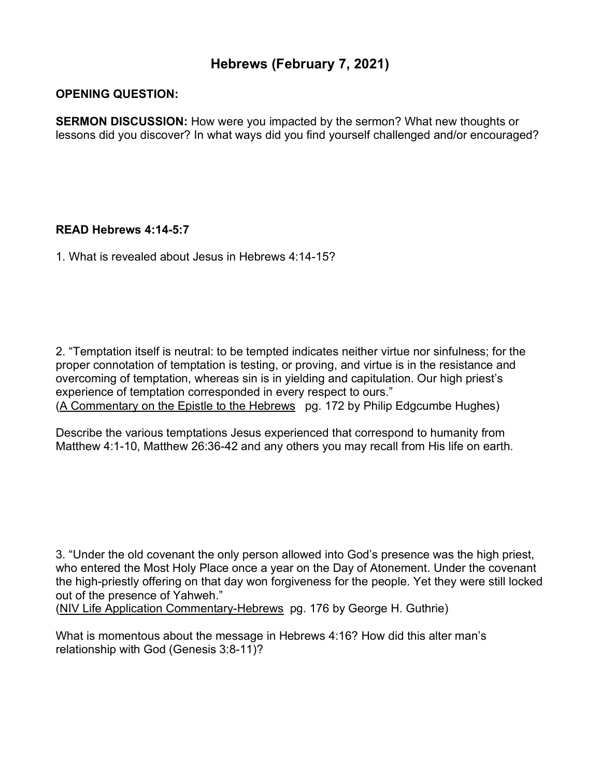## **Hebrews (February 7, 2021)**

## **OPENING QUESTION:**

**SERMON DISCUSSION:** How were you impacted by the sermon? What new thoughts or lessons did you discover? In what ways did you find yourself challenged and/or encouraged?

## **READ Hebrews 4:14-5:7**

1. What is revealed about Jesus in Hebrews 4:14-15?

2. "Temptation itself is neutral: to be tempted indicates neither virtue nor sinfulness; for the proper connotation of temptation is testing, or proving, and virtue is in the resistance and overcoming of temptation, whereas sin is in yielding and capitulation. Our high priest's experience of temptation corresponded in every respect to ours." (A Commentary on the Epistle to the Hebrews pg. 172 by Philip Edgcumbe Hughes)

Describe the various temptations Jesus experienced that correspond to humanity from Matthew 4:1-10, Matthew 26:36-42 and any others you may recall from His life on earth.

3. "Under the old covenant the only person allowed into God's presence was the high priest, who entered the Most Holy Place once a year on the Day of Atonement. Under the covenant the high-priestly offering on that day won forgiveness for the people. Yet they were still locked out of the presence of Yahweh."

(NIV Life Application Commentary-Hebrews pg. 176 by George H. Guthrie)

What is momentous about the message in Hebrews 4:16? How did this alter man's relationship with God (Genesis 3:8-11)?